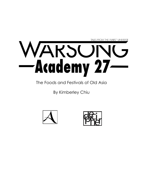

The Foods and Festivals of Old Asia

By Kimberley Chiu



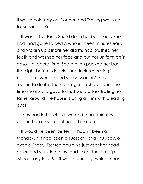It was a cold day on Gongen and Tsetseg was late for school again.

It wasn't her fault. She'd done her best, really she had: had gone to bed a whole fifteen minutes early and woken up before her alarm, had brushed her teeth and washed her face and put her uniform on in absolute record time. She'd even packed her bag the night before, double- and triple-checking it before she went to bed so she wouldn't have a reason to do it in the morning, and she'd spent the time she usually gave to that sacred task trailing her father around the house, staring at him with pleading eyes.

They had left a whole two and a half minutes earlier than usual, but it hadn't mattered.

It would've been better if it hadn't been a Monday. If it had been a Tuesday, or a Thursday, or even a Friday, Tsetseg could've just kept her head down and slunk into class and taken the late slip without any fuss. But it was a Monday, which meant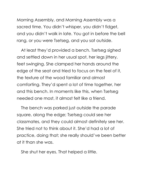Morning Assembly, and Morning Assembly was a sacred time. You didn't whisper, you didn't fidget, and you didn't walk in late. You got in before the bell rang, or you were Tsetseg, and you sat outside.

At least they'd provided a bench. Tsetseg sighed and settled down in her usual spot, her legs jittery, feet swinging. She clamped her hands around the edge of the seat and tried to focus on the feel of it, the texture of the wood familiar and almost comforting. They'd spent a lot of time together, her and this bench. In moments like this, when Tsetseg needed one most, it almost felt like a friend.

The bench was parked just outside the parade square, along the edge; Tsetseg could see her classmates, and they could almost definitely see her. She tried not to think about it. She'd had a lot of practice, doing that; she really should've been better at it than she was.

She shut her eyes. That helped a little.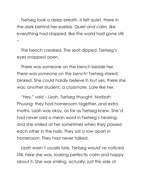Tsetseg took a deep breath. It felt quiet, there in the dark behind her eyelids. Quiet and calm, like everything had stopped, like the world had gone still –

The bench creaked. The seat dipped. Tsetseg's eyes snapped open.

There was someone on the bench beside her. *There was someone on the bench!* Tsetseg stared; blinked. She could hardly believe it, but yes, there she was: another student, a *classmate*. Late like her.

"Hey," said – Lizah, Tsetseg thought. Norlizah Phuong: they had homeroom together, and extra maths. Lizah was okay, as far as Tsetseg knew. She'd had never said a mean word in Tsetseg's hearing, and she smiled at her sometimes when they passed each other in the halls. They sat a row apart in homeroom. They had never talked.

Lizah wasn't usually late. Tsetseg would've noticed. Still, here she was, looking perfectly calm and happy about it. She was smiling, actually: just this side of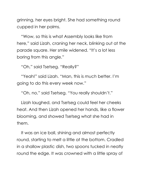grinning, her eyes bright. She had something round cupped in her palms.

"Wow, so this is what Assembly looks like from here," said Lizah, craning her neck, blinking out at the parade square. Her smile widened. "It's a lot less boring from this angle."

"Oh," said Tsetseg. "Really?"

"Yeah!" said Lizah. "Man, this is *much* better. I'm going to do this every week now."

"Oh, no," said Tsetseg. "You really shouldn't."

Lizah laughed, and Tsetseg could feel her cheeks heat. And then Lizah opened her hands, like a flower blooming, and showed Tsetseg what she had in them.

It was an ice ball, shining and almost perfectly round, starting to melt a little at the bottom. Cradled in a shallow plastic dish, two spoons tucked in neatly round the edge. It was crowned with a little spray of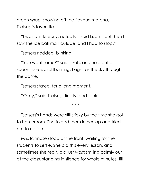green syrup, showing off the flavour: matcha, Tsetseg's favourite.

"I was a little early, actually," said Lizah, "but then I saw the ice ball man outside, and I had to stop."

Tsetseg nodded, blinking.

"You want some?" said Lizah, and held out a spoon. She was still smiling, bright as the sky through the dome.

Tsetseg stared, for a long moment.

"Okay," said Tsetseg, finally, and took it.

\* \* \*

Tsetseg's hands were still sticky by the time she got to homeroom. She folded them in her lap and tried not to notice.

Mrs. Ichinose stood at the front, waiting for the students to settle. She did this every lesson, and sometimes she really did just *wait*: smiling calmly out at the class, standing in silence for whole minutes, till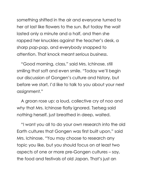something shifted in the air and everyone turned to her at last like flowers to the sun. But today the wait lasted only a minute and a half, and then she rapped her knuckles against the teacher's desk, a sharp *pap-pap*, and everybody snapped to attention. That knock meant *serious business*.

"Good morning, class," said Mrs. Ichinose, still smiling that soft and even smile. "Today we'll begin our discussion of Gongen's culture and history, but before we start, I'd like to talk to you about your next assignment."

A groan rose up: a loud, collective cry of *noo* and *why* that Mrs. Ichinose flatly ignored. Tsetseg said nothing herself, just breathed in deep, waited.

"I want you all to do your own research into the old Earth cultures that Gongen was first built upon," said Mrs. Ichinose. "You may choose to research any topic you like, but you should focus on at least two aspects of one or more pre-Gongen cultures – say, the food and festivals of old Japan. That's just an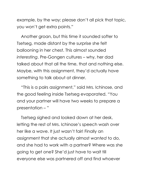example, by the way; please don't all pick that topic, you won't get extra points."

Another groan, but this time it sounded softer to Tsetseg, made distant by the surprise she felt ballooning in her chest. This almost sounded *interesting*. Pre-Gongen cultures – why, her dad talked about that all the time, that and nothing else. Maybe, with this assignment, they'd actually have something to talk about at dinner.

"This is a pairs assignment," said Mrs. Ichinose, and the good feeling inside Tsetseg evaporated. "You and your partner will have two weeks to prepare a presentation – "

Tsetseg sighed and looked down at her desk, letting the rest of Mrs. Ichinose's speech wash over her like a wave. It just wasn't fair! Finally an assignment that she actually almost *wanted* to do, and she had to work with a partner? Where was she going to get one? She'd just have to wait till everyone else was partnered off and find whoever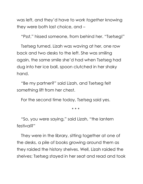was left, and they'd have to *work together* knowing they were both last choice, and –

"Psst," hissed someone, from behind her. "Tsetseg!"

Tsetseg turned. Lizah was waving at her, one row back and two desks to the left. She was smiling again, the same smile she'd had when Tsetseg had dug into her ice ball, spoon clutched in her shaky hand.

"Be my partner?" said Lizah, and Tsetseg felt something lift from her chest.

For the second time today, Tsetseg said yes.

\* \* \*

"So, you were saying," said Lizah, "the lantern festival?"

They were in the library, sitting together at one of the desks, a pile of books growing around them as they raided the history shelves. Well, Lizah raided the shelves; Tsetseg stayed in her seat and read and took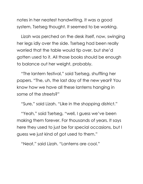notes in her neatest handwriting. It was a good system, Tsetseg thought. It seemed to be working.

Lizah was perched on the desk itself, now, swinging her legs idly over the side. Tsetseg had been really worried that the table would tip over, but she'd gotten used to it. All those books should be enough to balance out her weight, probably.

"The lantern festival," said Tsetseg, shuffling her papers. "The, uh, the last day of the new year? You know how we have all these lanterns hanging in some of the streets?"

"Sure," said Lizah. "Like in the shopping district."

"Yeah," said Tsetseg, "well, I guess we've been making them forever. For thousands of years. It says here they used to just be for special occasions, but I guess we just kind of got used to them."

"Neat," said Lizah. "Lanterns are cool."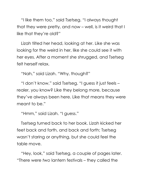"I like them too," said Tsetseg. "I always thought that they were pretty, and now – well, is it weird that I like that they're old?"

Lizah tilted her head, looking at her. Like she was looking for the weird in her, like she could see it with her eyes. After a moment she shrugged, and Tsetseg felt herself relax.

"Nah," said Lizah. "Why, though?"

"I don't know," said Tsetseg. "I guess it just feels – realer, you know? Like they belong more, because they've always been here. Like that means they were meant to be."

"Hmm," said Lizah. "I guess."

Tsetseg turned back to her book. Lizah kicked her feet back and forth, and back and forth; Tsetseg wasn't staring or anything, but she could feel the table move.

"Hey, look," said Tsetseg, a couple of pages later. "There were *two* lantern festivals – they called the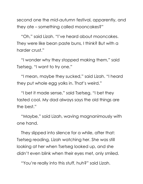second one the *mid-autumn* festival, apparently, and they ate – something called mooncakes?"

"Oh," said Lizah. "I've heard about mooncakes. They were like bean paste buns, I think? But with a harder crust."

"I wonder why they stopped making them," said Tsetseg. "I want to try one."

"I mean, maybe they sucked," said Lizah. "I heard they put whole egg yolks in. That's weird."

"I bet it made sense," said Tsetseg. "I bet they tasted cool. My dad always says the old things are the best."

"Maybe," said Lizah, waving magnanimously with one hand.

They slipped into silence for a while, after that: Tsetseg reading, Lizah watching her. She was still looking at her when Tsetseg looked up, and she didn't even blink when their eyes met, only smiled.

"You're really into this stuff, huh?" said Lizah.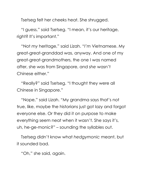Tsetseg felt her cheeks heat. She shrugged.

"I guess," said Tsetseg. "I mean, it's our heritage, right? It's important."

"Not *my* heritage," said Lizah. "*I'm* Vietnamese. My great-great-granddad was, anyway. And one of my great-great-grandmothers, the one I was named after, she was from Singapore, and *she* wasn't Chinese either."

"Really?" said Tsetseg. "I thought they were all Chinese in Singapore."

"Nope," said Lizah. "My grandma says that's not true, like, maybe the historians just got lazy and forgot everyone else. Or they did it on purpose to make everything seem neat when it wasn't. She says it's, uh, he-ge-monic?" – sounding the syllables out.

Tsetseg didn't know what *hedgymonic* meant, but it sounded bad.

"Oh," she said, again.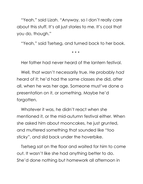"Yeah," said Lizah. "Anyway, so I don't really care about this stuff. It's all just stories to me. It's cool that you do, though."

"Yeah," said Tsetseg, and turned back to her book.

\* \* \*

Her father had never heard of the lantern festival.

Well, that wasn't necessarily true. He probably *had* heard of it; he'd had the same classes she did, after all, when he was her age. Someone must've done a presentation on it, or something. Maybe he'd forgotten.

Whatever it was, he didn't react when she mentioned it, or the mid-autumn festival either. When she asked him about mooncakes, he just grunted, and muttered something that sounded like "too sticky", and slid back under the hoverbike.

Tsetseg sat on the floor and waited for him to come out. It wasn't like she had anything better to do. She'd done nothing but homework all afternoon in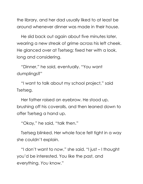the library, and her dad usually liked to at least be around whenever dinner was made in their house.

He slid back out again about five minutes later, wearing a new streak of grime across his left cheek. He glanced over at Tsetseg; fixed her with a look, long and considering.

"Dinner," he said, eventually. "You want dumplings?"

"I want to talk about my school project," said Tsetseg.

Her father raised an eyebrow. He stood up, brushing off his coveralls, and then leaned down to offer Tsetseg a hand up.

"Okay," he said, "talk then."

Tsetseg blinked. Her whole face felt tight in a way she couldn't explain.

"I don't want to *now*," she said. "I just – I thought you'd be interested. You like the past, and everything. *You* know."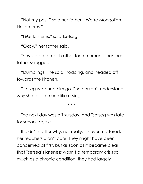"Not my past," said her father. "We're Mongolian. No lanterns."

"I *like* lanterns," said Tsetseg.

"Okay," her father said.

They stared at each other for a moment, then her father shrugged.

"Dumplings," he said, nodding, and headed off towards the kitchen.

Tsetseg watched him go. She couldn't understand why she felt so much like crying.

\* \* \*

The next day was a Thursday, and Tsetseg was late for school, *again*.

It didn't matter why, not really. It never mattered; her teachers didn't care. They might have been concerned at first, but as soon as it became clear that Tsetseg's lateness wasn't a temporary crisis so much as a chronic condition, they had largely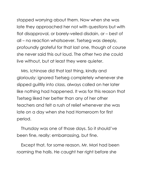stopped worrying about them. Now when she was late they approached her not with questions but with flat disapproval, or barely-veiled disdain, or – best of all – no reaction whatsoever. Tsetseg was deeply, profoundly grateful for that last one, though of course she never said this out loud. The other two she could live without, but at least they were quieter.

Mrs. Ichinose did that last thing, kindly and gloriously: ignored Tsetseg completely whenever she slipped guiltily into class, always called on her later like nothing had happened. It was for this reason that Tsetseg liked her better than any of her other teachers and felt a rush of relief whenever she was late on a day when she had Homeroom for first period.

Thursday was one of those days. So it should've been fine, really: embarrassing, but fine.

Except that, for some reason, Mr. Mori had been roaming the halls. He caught her right before she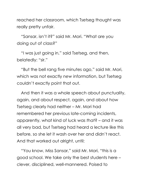reached her classroom, which Tsetseg thought was really pretty unfair.

"Sansar, isn't it?" said Mr. Mori. "What are you doing out of class?"

"I was just going in," said Tsetseg, and then, belatedly: "sir."

"But the bell rang five minutes ago," said Mr. Mori, which was not exactly *new* information, but Tsetseg couldn't exactly point that out.

And then it was a whole speech about punctuality, again, and about respect, again, and about how Tsetseg clearly had neither – Mr. Mori had remembered her previous late-coming incidents, apparently, what kind of luck was *that*? – and it was all very bad, but Tsetseg had heard a lecture like this before, so she let it wash over her and didn't react. And that worked out alright, until:

"You know, Miss Sansar," said Mr. Mori, "this is a good school. We take only the best students here – clever, disciplined, well-mannered. Poised to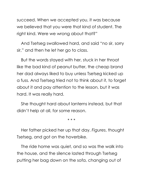succeed. When we accepted you, it was because we believed that you were that kind of student. The right kind. Were we wrong about that?"

And Tsetseg swallowed hard, and said "no sir, sorry sir," and then he let her go to class.

But the words stayed with her, stuck in her throat like the bad kind of peanut butter, the cheap brand her dad always liked to buy unless Tsetseg kicked up a fuss. And Tsetseg tried not to think about it, to forget about it and pay attention to the lesson, but it was hard. It was really hard.

She thought hard about lanterns instead, but that didn't help at all, for some reason.

\* \* \*

Her father picked her up that day. *Figures*, thought Tsetseg, and got on the hoverbike.

The ride home was quiet, and so was the walk into the house, and the silence lasted through Tsetseg putting her bag down on the sofa, changing out of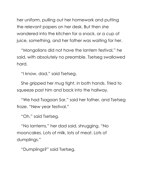her uniform, pulling out her homework and putting the relevant papers on her desk. But then she wandered into the kitchen for a snack, or a cup of juice, something, and her father was waiting for her.

"Mongolians did not have the lantern festival," he said, with absolutely no preamble. Tsetseg swallowed hard.

"I know, dad," said Tsetseg.

She gripped her mug tight, in both hands. Tried to squeeze past him and back into the hallway.

"We had Tsagaan Sar," said her father, and Tsetseg froze. "New year festival."

"Oh," said Tsetseg.

"No lanterns," her dad said, shrugging. "No mooncakes. Lots of milk, lots of meat. Lots of dumplings."

"Dumplings?" said Tsetseg.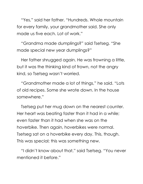"Yes," said her father. "Hundreds. Whole mountain for every family, your grandmother said. She only made us five each. Lot of work."

"Grandma made dumplings?" said Tsetseg. "She made special new year dumplings?"

Her father shrugged again. He was frowning a little, but it was the thinking kind of frown, not the angry kind, so Tsetseg wasn't worried.

"Grandmother made a lot of things," he said. "Lots of old recipes. Some she wrote down. In the house somewhere."

Tsetseg put her mug down on the nearest counter. Her heart was beating faster than it had in a while; even faster than it had when she was on the hoverbike. Then again, hoverbikes were normal. Tsetseg sat on a hoverbike every day. This, though. This was special; this was something new.

"I didn't know about that," said Tsetseg. "You never mentioned it before."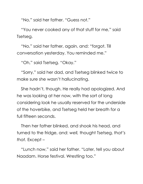"No," said her father. "Guess not."

"You never cooked any of that stuff for me," said Tsetseg.

"No," said her father, again, and: "forgot. Till conversation yesterday. You reminded me."

"Oh," said Tsetseg. "Okay."

"Sorry," said her dad, and Tsetseg blinked twice to make sure she wasn't hallucinating.

She hadn't, though. He really had apologized. And he was looking at her now, with the sort of long considering look he usually reserved for the underside of the hoverbike, and Tsetseg held her breath for a full fifteen seconds.

Then her father blinked, and shook his head, and turned to the fridge, and: *well,* thought Tsetseg, *that's that.* Except –

"Lunch now," said her father. "Later, tell you about Naadam. Horse festival. Wrestling too."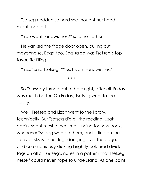Tsetseg nodded so hard she thought her head might snap off.

"You want sandwiches?" said her father.

He yanked the fridge door open, pulling out mayonnaise. Eggs, too. Egg salad was Tsetseg's top favourite filling.

"Yes," said Tsetseg. "Yes, I want sandwiches."

\* \* \*

So Thursday turned out to be alright, after all. Friday was much better. On Friday, Tsetseg went to the library.

Well, Tsetseg and Lizah went to the library, technically. But Tsetseg did all the reading. Lizah, again, spent most of her time running for new books whenever Tsetseg wanted them, and sitting on the study desks with her legs dangling over the edge, and ceremoniously sticking brightly-coloured divider tags on all of Tsetseg's notes in a pattern that Tsetseg herself could never hope to understand. At one point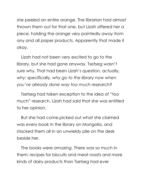she peeled an entire orange. The librarian had almost thrown them out for that one, but Lizah offered her a piece, holding the orange very pointedly *away* from any and all paper products. Apparently that made it okay.

Lizah had not been very excited to go to the library, but she had gone anyway. Tsetseg wasn't sure why. That had been Lizah's question, actually, *why*: specifically, *why go to the library now when you've already done way too much research?*

Tsetseg had taken exception to the idea of "too much" research. Lizah had said that she was entitled to her opinion.

But she had come,picked out what she claimed was every book in the library on Mongolia, and stacked them all in an unwieldy pile on the desk beside her.

The books were *amazing*. There was so much in them: recipes for biscuits and meat roasts and more kinds of dairy products than Tsetseg had ever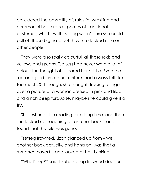considered the possibility of, rules for wrestling and ceremonial horse races, photos of traditional costumes, which, well. Tsetseg wasn't sure she could pull off those big hats, but they sure looked nice on other people.

They were also really colourful, all those reds and yellows and greens. Tsetseg had never worn a lot of colour; the thought of it scared her a little. Even the red-and-gold trim on her uniform had always felt like too much. Still though, she thought, tracing a finger over a picture of a woman dressed in pink and lilac and a rich deep turquoise, maybe she could give it a try.

She lost herself in reading for a long time, and then she looked up, reaching for another book – and found that the pile was gone.

Tsetseg frowned. Lizah glanced up from – well, another book actually, and hang on, was that a *romance novel?* – and looked at her, blinking.

"What's up?" said Lizah. Tsetseg frowned deeper.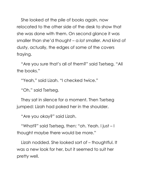She looked at the pile of books again, now relocated to the other side of the desk to show that she was done with them. On second glance it was smaller than she'd thought – a *lot* smaller. And kind of dusty, actually, the edges of some of the covers fraying.

"Are you sure that's all of them?" said Tsetseg. "All the books."

"Yeah," said Lizah. "I checked twice."

"Oh," said Tsetseg.

They sat in silence for a moment. Then Tsetseg jumped: Lizah had poked her in the shoulder.

"Are you okay?" said Lizah.

"What?" said Tsetseg, then: "oh. Yeah. I just – I thought maybe there would be more."

Lizah nodded. She looked sort of – thoughtful. It was a new look for her, but it seemed to suit her pretty well.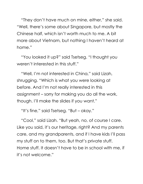"They don't have much on mine, either," she said. "Well, there's some about Singapore, but mostly the Chinese half, which isn't worth much to me. A bit more about Vietnam, but nothing I haven't heard at home."

"You looked it up?" said Tsetseg. "I thought you weren't interested in this stuff."

"Well, I'm not interested in China," said Lizah, shrugging. "Which is what you were looking at before. And I'm not really interested in this assignment – sorry for making you do all the work, though. I'll make the slides if you want."

"It's fine," said Tsetseg. "But – okay."

"Cool," said Lizah. "But yeah, no, of course I care. Like you said, it's our heritage, right? And my parents care, and my grandparents, and if I have kids I'll pass my stuff on to them, too. But that's private stuff. Home stuff. It doesn't have to be in school with me, if it's not welcome."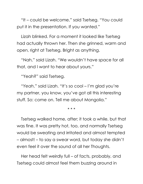"It – could be welcome," said Tsetseg. "You could put it in the presentation. If you wanted."

Lizah blinked. For a moment it looked like Tsetseg had actually thrown her. Then she grinned, warm and open, right at Tsetseg. Bright as anything.

"Nah," said Lizah. "We wouldn't have space for all that, and I want to hear about yours."

"Yeah?" said Tsetseg.

"*Yeah*," said Lizah. "It's so cool – I'm glad you're my partner, you know, you've got all this interesting stuff. So: come on. Tell me about Mongolia."

\* \* \*

Tsetseg walked home, after; it took a while, but that was fine. It was pretty hot, too, and normally Tsetseg would be sweating and irritated and almost tempted – almost! – to say a swear word, but today she didn't even feel it over the sound of all her Thoughts.

Her head felt weirdly full – of facts, probably, and Tsetseg could almost feel them buzzing around in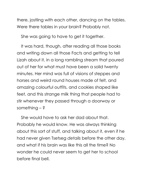there, jostling with each other, dancing on the tables. Were there tables in your brain? Probably not.

She was going to have to get it together.

It was hard, though, after reading all those books and writing down all those Facts and getting to tell Lizah about it, in a long rambling stream that poured out of her for what must have been a solid twenty minutes. Her mind was full of visions of steppes and horses and weird round houses made of felt, and amazing colourful outfits, and cookies shaped like feet, and this strange milk thing that people had to stir whenever they passed through a doorway or something – ?

She would have to ask her dad about that. Probably he would know. He was always thinking about this sort of stuff, and talking about it, even if he had never given Tsetseg *details* before the other day, and what if his brain was like this all the time? No wonder he could never seem to get her to school before final bell.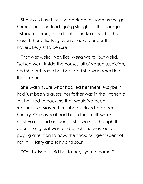She would ask him, she decided, as soon as she got home – and she tried, going straight to the garage instead of through the front door like usual, but he wasn't there. Tsetseg even checked under the hoverbike, just to be sure.

That was weird. Not, like, *weird* weird, but weird. Tsetseg went inside the house, full of vague suspicion, and she put down her bag, and she wandered into the kitchen.

She wasn't sure what had led her there. Maybe it had just been a guess; her father was in the kitchen a lot, he liked to cook, so that would've been reasonable. Maybe her subconscious had been hungry. Or maybe it had been the smell, which she must've noticed as soon as she walked through the door, strong as it was, and which she was really paying attention to now: the thick, pungent scent of hot milk, fatty and salty and sour.

"Oh, Tsetseg," said her father, "you're home."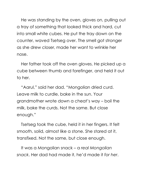He was standing by the oven, gloves on, pulling out a tray of something that looked thick and hard, cut into small white cubes. He put the tray down on the counter, waved Tsetseg over. The smell got stronger as she drew closer, made her want to wrinkle her nose.

Her father took off the oven gloves. He picked up a cube between thumb and forefinger, and held it out to her.

"Aarul," said her dad. "Mongolian dried curd. Leave milk to curdle, bake in the sun. Your grandmother wrote down a cheat's way – boil the milk, bake the curds. Not the same. But close enough."

Tsetseg took the cube, held it in her fingers. It felt smooth, solid, almost like a stone. She stared at it, transfixed. Not the same, but close enough.

It was a Mongolian snack – a *real Mongolian snack*. Her dad had made it, he'd made it *for her*.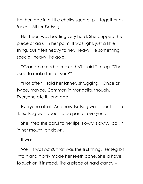Her heritage in a little chalky square, put together *all for her*. All for *Tsetseg*.

Her heart was beating very hard. She cupped the piece of aarul in her palm. It was light, just a little thing, but it felt heavy to her. Heavy like something special, heavy like gold.

"Grandma used to make this?" said Tsetseg. "She used to make this for you?"

"Not often," said her father, shrugging. "Once or twice, maybe. Common in Mongolia, though. Everyone ate it, long ago."

Everyone ate it. And now Tsetseg was about to eat it. Tsetseg was about to be part of *everyone*.

She lifted the aarul to her lips, slowly, slowly. Took it in her mouth, bit down.

It was –

Well, it was *hard*, that was the first thing. Tsetseg bit into it and it only made her teeth ache. She'd have to suck on it instead, like a piece of hard candy –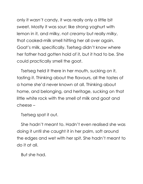only it *wasn't* candy, it was really only a little bit sweet. Mostly it was sour: like strong yoghurt with lemon in it, and milky, not *creamy* but really *milky*, that cooked-milk smell hitting her all over again. Goat's milk, specifically. Tsetseg didn't know where her father had gotten hold of it, but it had to be. She could practically smell the goat.

Tsetseg held it there in her mouth, sucking on it, tasting it. Thinking about the flavours, all the tastes of a home she'd never known at all. Thinking about home, and belonging, and heritage, sucking on that little white rock with the smell of milk and goat and cheese –

Tsetseg spat it out.

She hadn't meant to. Hadn't even realised she was doing it until she caught it in her palm, soft around the edges and wet with her spit. She hadn't meant to do it at all.

But she had.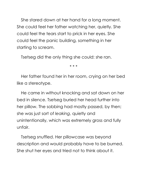She stared down at her hand for a long moment. She could feel her father watching her, quietly. She could feel the tears start to prick in her eyes. She could feel the panic building, something in her starting to scream.

Tsetseg did the only thing she could: she ran.

\* \* \*

Her father found her in her room, crying on her bed like a stereotype.

He came in without knocking and sat down on her bed in silence. Tsetseg buried her head further into her pillow. The sobbing had mostly passed, by then; she was just sort of *leaking*, quietly and unintentionally, which was extremely gross and fully unfair.

Tsetseg snuffled. Her pillowcase was beyond description and would probably have to be burned. She shut her eyes and tried not to think about it.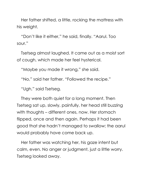Her father shifted, a little, rocking the mattress with his weight.

"Don't like it either," he said, finally. "Aarul. Too sour."

Tsetseg almost laughed. It came out as a moist sort of cough, which made her feel hysterical.

"Maybe you made it wrong," she said.

"No," said her father. "Followed the recipe."

"Ugh," said Tsetseg.

They were both quiet for a long moment. Then Tsetseg sat up, slowly, painfully, her head still buzzing with thoughts – different ones, now. Her stomach flipped, once and then again. Perhaps it had been good that she hadn't managed to swallow; the aarul would probably have come back up.

Her father was watching her, his gaze intent but calm, even. No anger or judgment, just a little worry. Tsetseg looked away.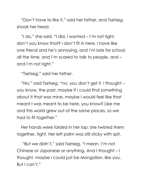"Don't have to like it," said her father, and Tsetseg shook her head.

"I do," she said. "I did. I wanted – I'm not right, don't you know that? I don't fit in here. I have like one friend and he's annoying, and I'm late for school all the time, and I'm scared to talk to people, and – and I'm not right."

"Tsetseg," said her father.

"No," said Tsetseg, "no, you don't get it. I thought – you know, the past, maybe if I could find something about it that was mine, maybe I would feel like that meant I was meant to be here, you know? Like me and this world grew out of the same places, so we had to fit together."

Her hands were folded in her lap; she twisted them together, tight. Her left palm was still sticky with spit.

"But we didn't," said Tsetseg. "I mean, I'm not Chinese or Japanese or anything. And I thought – I thought, maybe I could just be Mongolian, like you. But I can't."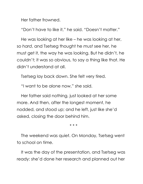Her father frowned.

"Don't have to like it," he said. "Doesn't matter."

He was looking at her like – he was looking at her, so *hard*, and Tsetseg thought he *must* see her, he must get it, the way he was looking. But he didn't, he couldn't; it was so obvious, to say a thing like that. He didn't understand at all.

Tsetseg lay back down. She felt very tired.

"I want to be alone now," she said.

Her father said nothing, just looked at her some more. And then, after the longest moment, he nodded, and stood up; and he left, just like she'd asked, closing the door behind him.

\* \* \*

The weekend was quiet. On Monday, Tsetseg went to school on time.

It was the day of the presentation, and Tsetseg was ready: she'd done her research and planned out her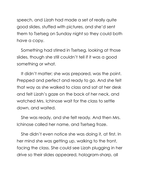speech, and Lizah had made a set of really quite good slides, stuffed with pictures, and she'd sent them to Tsetseg on Sunday night so they could both have a copy.

Something had stirred in Tsetseg, looking at those slides, though she still couldn't tell if it was a good something or what.

It didn't matter; she was prepared, was the point. Prepped and perfect and ready to go. And she felt that way as she walked to class and sat at her desk and felt Lizah's gaze on the back of her neck, and watched Mrs. Ichinose wait for the class to settle down, and waited.

She was ready, and she felt ready. And then Mrs. Ichinose called her name, and Tsetseg froze.

She didn't even notice she was doing it, at first. In her mind she was getting up, walking to the front, facing the class. She could see Lizah plugging in her drive so their slides appeared, hologram-sharp, all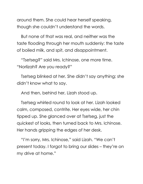around them. She could hear herself speaking, though she couldn't understand the words.

But none of that was real, and neither was the taste flooding through her mouth suddenly: the taste of boiled milk, and spit, and disappointment.

"Tsetseg?" said Mrs. Ichinose, one more time. "Norlizah? Are you ready?"

Tsetseg blinked at her. She didn't say anything; she didn't know what to say.

And then, behind her, Lizah stood up.

Tsetseg whirled round to look at her. Lizah looked calm, composed, contrite. Her eyes wide, her chin tipped up. She glanced over at Tsetseg, just the quickest of looks, then turned back to Mrs. Ichinose. Her hands gripping the edges of her desk.

"I'm sorry, Mrs. Ichinose," said Lizah. "We can't present today. I forgot to bring our slides – they're on my drive at home."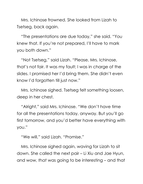Mrs. Ichinose frowned. She looked from Lizah to Tsetseg, back again.

"The presentations are due today," she said. "You knew that. If you're not prepared, I'll have to mark you both down."

"Not Tsetseg," said Lizah. "Please, Mrs. Ichinose, that's not fair. It was my fault; I was in charge of the slides. I promised her I'd bring them. She didn't even know I'd forgotten till just now."

Mrs. Ichinose sighed. Tsetseg felt something loosen, deep in her chest.

"Alright," said Mrs. Ichinose. "We don't have time for all the presentations today, anyway. But you'll go first tomorrow, and you'd better have everything with you."

"We will," said Lizah. "Promise."

Mrs. Ichinose sighed again, waving for Lizah to sit down. She called the next pair – Li Xiu and Jae Hyun, and wow, *that* was going to be interesting – and that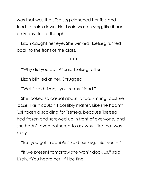was that was that. Tsetseg clenched her fists and tried to calm down. Her brain was buzzing, like it had on Friday: full of thoughts.

Lizah caught her eye. She winked. Tsetseg turned back to the front of the class.

\* \* \*

"Why did you do it?" said Tsetseg, after.

Lizah blinked at her. Shrugged.

"Well," said Lizah, "you're my friend."

She looked so casual about it, too. Smiling, posture loose, like it couldn't possibly matter. Like she hadn't just taken a scolding for Tsetseg, because Tsetseg had frozen and screwed up in front of everyone, and she hadn't even bothered to ask why. Like that was okay.

"But you got in *trouble*," said Tsetseg. "But you – "

"If we present tomorrow she won't dock us," said Lizah. "You heard her. It'll be fine."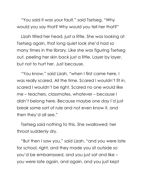"You said it was your fault," said Tsetseg. "Why would you say that? Why would you tell her that?"

Lizah tilted her head, just a little. She was looking at Tsetseg again, that long quiet look she'd had so many times in the library. Like she was figuring Tsetseg out, peeling her skin back just a little. Layer by layer, but not to hurt her. Just because.

"You know," said Lizah, "when I first came here, I was really scared. All the time. Scared I wouldn't fit in, scared I wouldn't be right. Scared no one would like me – teachers, classmates, whatever – because I didn't belong here. Because maybe one day I'd just break some sort of rule and not even know it, and then they'd all see."

Tsetseg said nothing to this. She swallowed; her throat suddenly dry.

"But then I saw you," said Lizah, "and you were late for school, right, and they made you sit outside so you'd be embarrassed, and you just sat and like – you were late again, and again, and you just kept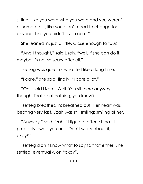sitting. Like you were who you were and you weren't ashamed of it, like you didn't need to change for anyone. Like you didn't even care."

She leaned in, just a little. Close enough to touch.

"And I thought," said Lizah, "well, if she can do it, maybe it's not so scary after all."

Tsetseg was quiet for what felt like a long time.

"I care," she said, finally. "I care a lot."

"Oh," said Lizah. "Well. You sit there anyway, though. That's not nothing, you know?"

Tsetseg breathed in; breathed out. Her heart was beating very fast. Lizah was still smiling: smiling at her.

"Anyway," said Lizah, "I figured, after all that, I probably owed you one. Don't worry about it, okay?"

Tsetseg didn't know what to say to that either. She settled, eventually, on "okay".

\* \* \*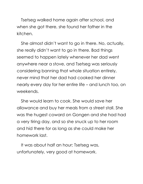Tsetseg walked home again after school, and when she got there, she found her father in the kitchen.

She almost didn't want to go in there. No, actually, she really didn't want to go in there. Bad things seemed to happen lately whenever her dad went anywhere near a stove, and Tsetseg was seriously considering banning that whole situation entirely, never mind that her dad had cooked her dinner nearly every day for her entire life – and lunch too, on weekends.

She would learn to cook. She would save her allowance and buy her meals from a street stall. She was the hugest coward on Gongen and she had had a very tiring day, and so she snuck up to her room and hid there for as long as she could make her homework last.

It was about half an hour; Tsetseg was, unfortunately, very good at homework.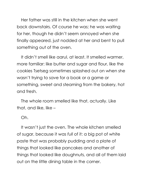Her father was still in the kitchen when she went back downstairs. Of course he was; he was waiting for her, though he didn't seem annoyed when she finally appeared, just nodded at her and bent to pull something out of the oven.

It didn't smell like aarul, at least. It smelled warmer, more familiar: like butter and sugar and flour, like the cookies Tsetseg sometimes splashed out on when she wasn't trying to save for a book or a game or something, sweet and steaming from the bakery, hot and fresh.

The whole room smelled like that, actually. Like that, and like, like –

Oh.

It wasn't just the oven. The whole kitchen smelled of sugar, because it was *full* of it: a big pot of white paste that was probably pudding and a plate of things that looked like pancakes and another of things that looked like doughnuts, and all of them laid out on the little dining table in the corner.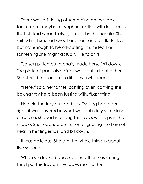There was a little jug of something on the table, too: cream, maybe, or yoghurt, chilled with ice cubes that clinked when Tsetseg lifted it by the handle. She sniffed it; it smelled sweet and sour and a little funky, but not enough to be off-putting. It smelled like something she might actually like to drink.

Tsetseg pulled out a chair, made herself sit down. The plate of pancake-things was right in front of her. She stared at it and felt a little overwhelmed.

"Here," said her father, coming over, carrying the baking tray he'd been fussing with. "Last thing."

He held the tray out, and yes, Tsetseg had been right: it was covered in what was definitely some kind of cookie, shaped into long thin ovals with dips in the middle. She reached out for one, ignoring the flare of heat in her fingertips, and bit down.

It was delicious. She ate the whole thing in about five seconds.

When she looked back up her father was smiling. He'd put the tray on the table, next to the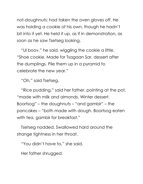not-doughnuts; had taken the oven gloves off. He was holding a cookie of his own, though he hadn't bit into it yet. He held it up, as if in demonstration, as soon as he saw Tsetseg looking.

"Ul boov," he said, wiggling the cookie a little. "Shoe cookie. Made for Tsagaan Sar, dessert after the dumplings. Pile them up in a pyramid to celebrate the new year."

"Oh," said Tsetseg.

"Rice pudding," said her father, pointing at the pot, "made with milk and almonds. Winter dessert. Boortsog" – the doughnuts – "and gambir" – the pancakes – "both made with dough. Boortsog eaten with tea, gambir for breakfast."

Tsetseg nodded. Swallowed hard around the strange tightness in her throat.

"You didn't have to," she said.

Her father shrugged.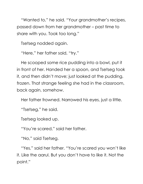"Wanted to," he said. "Your grandmother's recipes, passed down from her grandmother – past time to share with you. Took too long."

Tsetseg nodded again.

"Here," her father said, "try."

He scooped some rice pudding into a bowl, put it in front of her. Handed her a spoon, and Tsetseg took it, and then didn't move; just looked at the pudding, frozen. That strange feeling she had in the classroom, back again, somehow.

Her father frowned. Narrowed his eyes, just a little.

"Tsetseg," he said.

Tsetseg looked up.

"You're scared," said her father.

"No," said Tsetseg.

"Yes," said her father. "You're scared you won't like it. Like the aarul. But you don't have to like it. Not the point."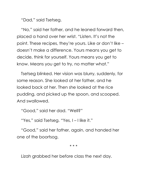"Dad," said Tsetseg.

"No," said her father, and he leaned forward then, placed a hand over her wrist. "Listen. It's not the point. These recipes, they're yours. Like or don't like – doesn't make a difference. Yours means you get to decide, think for yourself. Yours means you get to know. Means you get to try, no matter what."

Tsetseg blinked. Her vision was blurry, suddenly, for some reason. She looked at her father, and he looked back at her. Then she looked at the rice pudding, and picked up the spoon, and scooped. And swallowed.

"Good," said her dad. "Well?"

"Yes," said Tsetseg. "Yes, I – I like it."

"Good," said her father, again, and handed her one of the boortsog.

\* \* \*

Lizah grabbed her before class the next day.